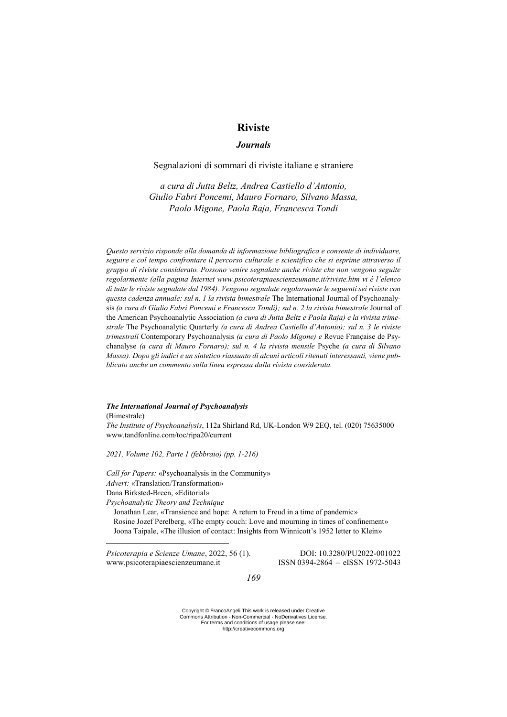# **Riviste**

## *Journals*

## Segnalazioni di sommari di riviste italiane e straniere

*a cura di Jutta Beltz, Andrea Castiello d'Antonio, Giulio Fabri Poncemi, Mauro Fornaro, Silvano Massa, Paolo Migone, Paola Raja, Francesca Tondi*

*Questo servizio risponde alla domanda di informazione bibliografica e consente di individuare, seguire e col tempo confrontare il percorso culturale e scientifico che si esprime attraverso il gruppo di riviste considerato. Possono venire segnalate anche riviste che non vengono seguite regolarmente (alla pagina Internet www.psicoterapiaescienzeumane.it/riviste.htm vi è l'elenco di tutte le riviste segnalate dal 1984). Vengono segnalate regolarmente le seguenti sei riviste con questa cadenza annuale: sul n. 1 la rivista bimestrale* The International Journal of Psychoanalysis (a cura di Giulio Fabri Poncemi e Francesca Tondi); sul n. 2 la rivista bimestrale Journal of the American Psychoanalytic Association *(a cura di Jutta Beltz e Paola Raja) e la rivista trimestrale* The Psychoanalytic Quarterly *(a cura di Andrea Castiello d'Antonio); sul n. 3 le riviste trimestrali* Contemporary Psychoanalysis *(a cura di Paolo Migone) e* Revue Française de Psychanalyse *(a cura di Mauro Fornaro); sul n. 4 la rivista mensile* Psyche *(a cura di Silvano Massa). Dopo gli indici e un sintetico riassunto di alcuni articoli ritenuti interessanti, viene pubblicato anche un commento sulla linea espressa dalla rivista considerata.* 

## *The International Journal of Psychoanalysis*

(Bimestrale)

<u>.</u>

*The Institute of Psychoanalysis*, 112a Shirland Rd, UK-London W9 2EQ, tel. (020) 75635000 www.tandfonline.com/toc/ripa20/current

*2021, Volume 102, Parte 1 (febbraio) (pp. 1-216)*

*Call for Papers:* «Psychoanalysis in the Community» *Advert:* «Translation/Transformation» Dana Birksted-Breen, «Editorial»

*Psychoanalytic Theory and Technique*

Jonathan Lear, «Transience and hope: A return to Freud in a time of pandemic» Rosine Jozef Perelberg, «The empty couch: Love and mourning in times of confinement» Joona Taipale, «The illusion of contact: Insights from Winnicott's 1952 letter to Klein»

*Psicoterapia e Scienze Umane*, 2022, 56 (1). DOI: 10.3280/PU2022-001022 www.psicoterapiaescienzeumane.it ISSN 0394-2864 – eISSN 1972-5043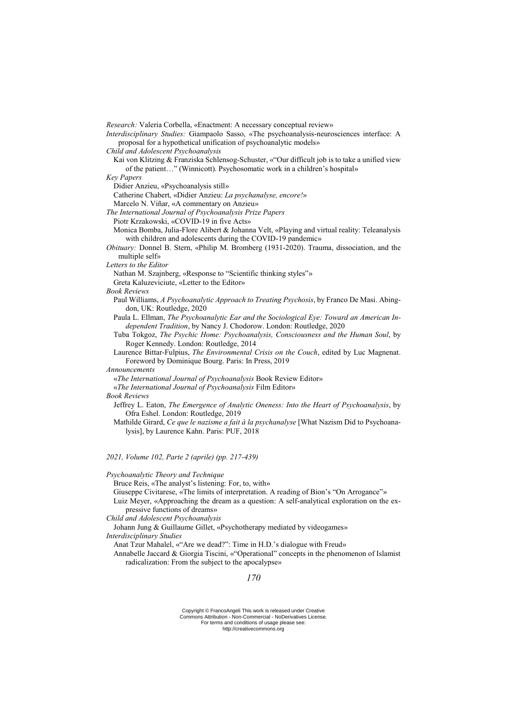*Research:* Valeria Corbella, «Enactment: A necessary conceptual review» *Interdisciplinary Studies:* Giampaolo Sasso, «The psychoanalysis-neurosciences interface: A proposal for a hypothetical unification of psychoanalytic models» *Child and Adolescent Psychoanalysis* Kai von Klitzing & Franziska Schlensog-Schuster, «"Our difficult job is to take a unified view of the patient…" (Winnicott). Psychosomatic work in a children's hospital» *Key Papers* Didier Anzieu, «Psychoanalysis still» Catherine Chabert, «Didier Anzieu: *La psychanalyse, encore!*» Marcelo N. Viñar, «A commentary on Anzieu» *The International Journal of Psychoanalysis Prize Papers* Piotr Krzakowski, «COVID-19 in five Acts» Monica Bomba, Julia-Flore Alibert & Johanna Velt, «Playing and virtual reality: Teleanalysis with children and adolescents during the COVID-19 pandemic» *Obituary:* Donnel B. Stern, «Philip M. Bromberg (1931-2020). Trauma, dissociation, and the multiple self» *Letters to the Editor* Nathan M. Szajnberg, «Response to "Scientific thinking styles"» Greta Kaluzeviciute, «Letter to the Editor» *Book Reviews* Paul Williams, *A Psychoanalytic Approach to Treating Psychosis*, by Franco De Masi. Abingdon, UK: Routledge, 2020 Paula L. Ellman, *The Psychoanalytic Ear and the Sociological Eye: Toward an American Independent Tradition*, by Nancy J. Chodorow. London: Routledge, 2020 Tuba Tokgoz, *The Psychic Home: Psychoanalysis, Consciousness and the Human Soul*, by Roger Kennedy. London: Routledge, 2014 Laurence Bittar-Fulpius, *The Environmental Crisis on the Couch*, edited by Luc Magnenat. Foreword by Dominique Bourg. Paris: In Press, 2019 *Announcements* «*The International Journal of Psychoanalysis* Book Review Editor» «*The International Journal of Psychoanalysis* Film Editor» *Book Reviews* Jeffrey L. Eaton, *The Emergence of Analytic Oneness: Into the Heart of Psychoanalysis*, by Ofra Eshel. London: Routledge, 2019 Mathilde Girard, *Ce que le nazisme a fait à la psychanalyse* [What Nazism Did to Psychoanalysis], by Laurence Kahn. Paris: PUF, 2018

*2021, Volume 102, Parte 2 (aprile) (pp. 217-439)*

*Psychoanalytic Theory and Technique*

Bruce Reis, «The analyst's listening: For, to, with»

Giuseppe Civitarese, «The limits of interpretation. A reading of Bion's "On Arrogance"»

Luiz Meyer, «Approaching the dream as a question: A self-analytical exploration on the expressive functions of dreams»

*Child and Adolescent Psychoanalysis*

Johann Jung & Guillaume Gillet, «Psychotherapy mediated by videogames»

*Interdisciplinary Studies*

Anat Tzur Mahalel, «"Are we dead?": Time in H.D.'s dialogue with Freud»

Annabelle Jaccard & Giorgia Tiscini, «"Operational" concepts in the phenomenon of Islamist radicalization: From the subject to the apocalypse»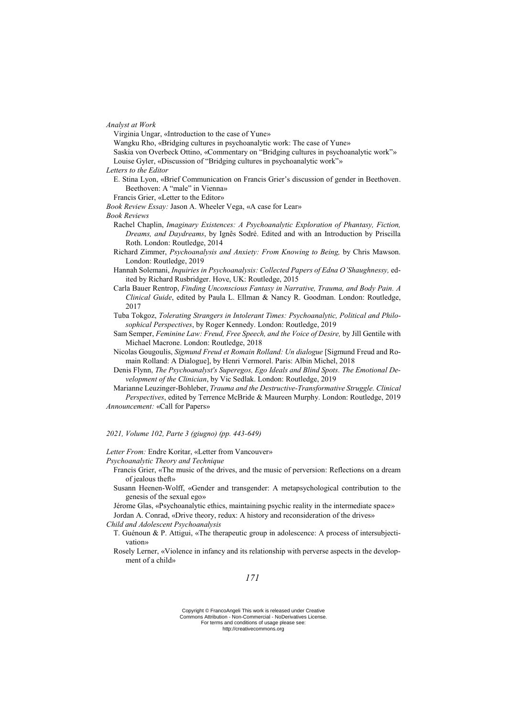*Analyst at Work*

Virginia Ungar, «Introduction to the case of Yune»

Wangku Rho, «Bridging cultures in psychoanalytic work: The case of Yune»

Saskia von Overbeck Ottino, «Commentary on "Bridging cultures in psychoanalytic work"»

Louise Gyler, «Discussion of "Bridging cultures in psychoanalytic work"»

*Letters to the Editor*

E. Stina Lyon, «Brief Communication on Francis Grier's discussion of gender in Beethoven. Beethoven: A "male" in Vienna»

Francis Grier, «Letter to the Editor»

*Book Review Essay:* Jason A. Wheeler Vega, «A case for Lear»

*Book Reviews*

- Rachel Chaplin, *Imaginary Existences: A Psychoanalytic Exploration of Phantasy, Fiction, Dreams, and Daydreams*, by Ignês Sodré. Edited and with an Introduction by Priscilla Roth. London: Routledge, 2014
- Richard Zimmer, *Psychoanalysis and Anxiety: From Knowing to Being,* by Chris Mawson. London: Routledge, 2019
- Hannah Solemani, *Inquiries in Psychoanalysis: Collected Papers of Edna O'Shaughnessy,* edited by Richard Rusbridger. Hove, UK: Routledge, 2015
- Carla Bauer Rentrop, *Finding Unconscious Fantasy in Narrative, Trauma, and Body Pain. A Clinical Guide*, edited by Paula L. Ellman & Nancy R. Goodman. London: Routledge, 2017
- Tuba Tokgoz, *Tolerating Strangers in Intolerant Times: Psychoanalytic, Political and Philosophical Perspectives*, by Roger Kennedy. London: Routledge, 2019
- Sam Semper, *Feminine Law: Freud, Free Speech, and the Voice of Desire,* by Jill Gentile with Michael Macrone. London: Routledge, 2018
- Nicolas Gougoulis, *Sigmund Freud et Romain Rolland: Un dialogue* [Sigmund Freud and Romain Rolland: A Dialogue], by Henri Vermorel. Paris: Albin Michel, 2018
- Denis Flynn, *The Psychoanalyst's Superegos, Ego Ideals and Blind Spots. The Emotional Development of the Clinician*, by Vic Sedlak. London: Routledge, 2019

Marianne Leuzinger-Bohleber, *Trauma and the Destructive-Transformative Struggle. Clinical Perspectives*, edited by Terrence McBride & Maureen Murphy. London: Routledge, 2019 *Announcement:* «Call for Papers»

*2021, Volume 102, Parte 3 (giugno) (pp. 443-649)*

*Letter From:* Endre Koritar, «Letter from Vancouver»

*Psychoanalytic Theory and Technique*

Francis Grier, «The music of the drives, and the music of perversion: Reflections on a dream of jealous theft»

- Susann Heenen-Wolff, «Gender and transgender: A metapsychological contribution to the genesis of the sexual ego»
- Jérome Glas, «Psychoanalytic ethics, maintaining psychic reality in the intermediate space» Jordan A. Conrad, «Drive theory, redux: A history and reconsideration of the drives»

*Child and Adolescent Psychoanalysis*

T. Guénoun & P. Attigui, «The therapeutic group in adolescence: A process of intersubjectivation»

Rosely Lerner, «Violence in infancy and its relationship with perverse aspects in the development of a child»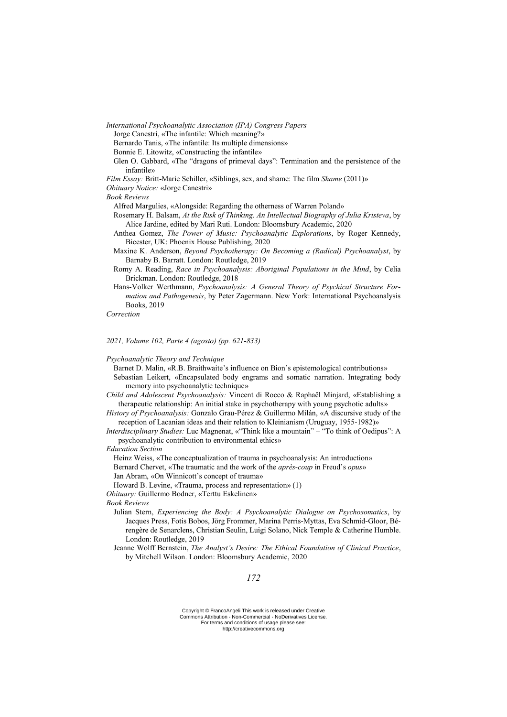*International Psychoanalytic Association (IPA) Congress Papers*

Jorge Canestri, «The infantile: Which meaning?»

Bernardo Tanis, «The infantile: Its multiple dimensions»

Bonnie E. Litowitz, «Constructing the infantile»

- Glen O. Gabbard, «The "dragons of primeval days": Termination and the persistence of the infantile»
- *Film Essay:* Britt-Marie Schiller, «Siblings, sex, and shame: The film *Shame* (2011)»

*Obituary Notice:* «Jorge Canestri»

#### *Book Reviews*

- Alfred Margulies, «Alongside: Regarding the otherness of Warren Poland»
- Rosemary H. Balsam, *At the Risk of Thinking. An Intellectual Biography of Julia Kristeva*, by Alice Jardine, edited by Mari Ruti. London: Bloomsbury Academic, 2020
- Anthea Gomez, *The Power of Music: Psychoanalytic Explorations*, by Roger Kennedy, Bicester, UK: Phoenix House Publishing, 2020
- Maxine K. Anderson, *Beyond Psychotherapy: On Becoming a (Radical) Psychoanalyst*, by Barnaby B. Barratt. London: Routledge, 2019
- Romy A. Reading, *Race in Psychoanalysis: Aboriginal Populations in the Mind*, by Celia Brickman. London: Routledge, 2018
- Hans-Volker Werthmann, *Psychoanalysis: A General Theory of Psychical Structure Formation and Pathogenesis*, by Peter Zagermann. New York: International Psychoanalysis Books, 2019

*Correction*

## *2021, Volume 102, Parte 4 (agosto) (pp. 621-833)*

*Psychoanalytic Theory and Technique*

Barnet D. Malin, «R.B. Braithwaite's influence on Bion's epistemological contributions» Sebastian Leikert, «Encapsulated body engrams and somatic narration. Integrating body memory into psychoanalytic technique»

- *Child and Adolescent Psychoanalysis:* Vincent di Rocco & Raphaël Minjard, «Establishing a therapeutic relationship: An initial stake in psychotherapy with young psychotic adults»
- *History of Psychoanalysis:* Gonzalo Grau-Pérez & Guillermo Milán, «A discursive study of the reception of Lacanian ideas and their relation to Kleinianism (Uruguay, 1955-1982)»
- *Interdisciplinary Studies:* Luc Magnenat, «"Think like a mountain" "To think of Oedipus": A psychoanalytic contribution to environmental ethics»

*Education Section*

Heinz Weiss, «The conceptualization of trauma in psychoanalysis: An introduction» Bernard Chervet, «The traumatic and the work of the *après-coup* in Freud's *opus*» Jan Abram, «On Winnicott's concept of trauma»

Howard B. Levine, «Trauma, process and representation» (1)

*Obituary:* Guillermo Bodner, «Terttu Eskelinen»

## *Book Reviews*

- Julian Stern, *Experiencing the Body: A Psychoanalytic Dialogue on Psychosomatics*, by Jacques Press, Fotis Bobos, Jörg Frommer, Marina Perris-Myttas, Eva Schmid-Gloor, Bérengère de Senarclens, Christian Seulin, Luigi Solano, Nick Temple & Catherine Humble. London: Routledge, 2019
- Jeanne Wolff Bernstein, *The Analyst's Desire: The Ethical Foundation of Clinical Practice*, by Mitchell Wilson. London: Bloomsbury Academic, 2020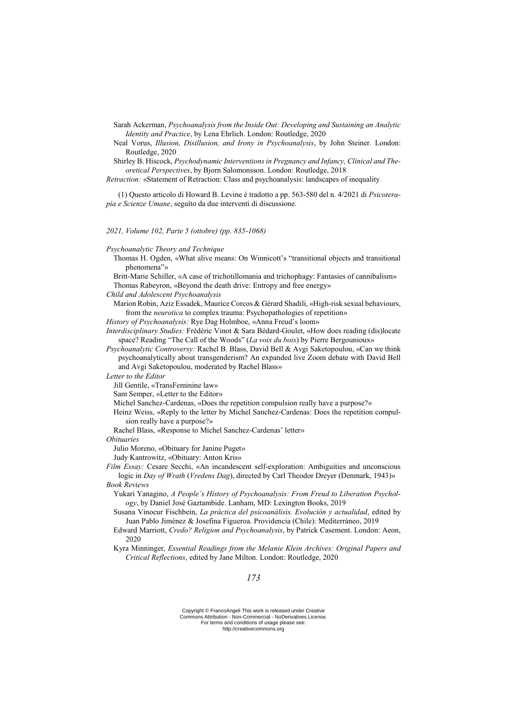Sarah Ackerman, *Psychoanalysis from the Inside Out: Developing and Sustaining an Analytic Identity and Practice*, by Lena Ehrlich. London: Routledge, 2020

Neal Vorus, *Illusion, Disillusion, and Irony in Psychoanalysis*, by John Steiner. London: Routledge, 2020

Shirley B. Hiscock, *Psychodynamic Interventions in Pregnancy and Infancy, Clinical and Theoretical Perspectives*, by Bjorn Salomonsson. London: Routledge, 2018

*Retraction:* «Statement of Retraction: Class and psychoanalysis: landscapes of inequality

(1) Questo articolo di Howard B. Levine è tradotto a pp. 563-580 del n. 4/2021 di *Psicoterapia e Scienze Umane*, seguìto da due interventi di discussione.

*2021, Volume 102, Parte 5 (ottobre) (pp. 835-1068)*

*Psychoanalytic Theory and Technique*

Thomas H. Ogden, «What alive means: On Winnicott's "transitional objects and transitional phenomena"»

Britt-Marie Schiller, «A case of trichotillomania and trichophagy: Fantasies of cannibalism» Thomas Rabeyron, «Beyond the death drive: Entropy and free energy»

*Child and Adolescent Psychoanalysis*

Marion Robin, Aziz Essadek, Maurice Corcos & Gérard Shadili, «High-risk sexual behaviours, from the *neurotica* to complex trauma: Psychopathologies of repetition»

*History of Psychoanalysis:* Rye Dag Holmboe, «Anna Freud's loom»

*Interdisciplinary Studies:* Frédéric Vinot & Sara Bédard-Goulet, «How does reading (dis)locate space? Reading "The Call of the Woods" (*La voix du bois*) by Pierre Bergounioux»

*Psychoanalytic Controversy:* Rachel B. Blass, David Bell & Avgi Saketopoulou, «Can we think psychoanalytically about transgenderism? An expanded live Zoom debate with David Bell and Avgi Saketopoulou, moderated by Rachel Blass»

*Letter to the Editor*

Jill Gentile, «TransFeminine law»

Sam Semper, «Letter to the Editor»

Michel Sanchez-Cardenas, «Does the repetition compulsion really have a purpose?»

Heinz Weiss, «Reply to the letter by Michel Sanchez-Cardenas: Does the repetition compulsion really have a purpose?»

Rachel Blass, «Response to Michel Sanchez-Cardenas' letter»

*Obituaries*

Julio Moreno, «Obituary for Janine Puget»

Judy Kantrowitz, «Obituary: Anton Kris»

*Film Essay:* Cesare Secchi, «An incandescent self-exploration: Ambiguities and unconscious logic in *Day of Wrath* (*Vredens Dag*), directed by Carl Theodor Dreyer (Denmark, 1943)» *Book Reviews*

Yukari Yanagino, *A People's History of Psychoanalysis: From Freud to Liberation Psychology*, by Daniel José Gaztambide. Lanham, MD: Lexington Books, 2019

Susana Vinocur Fischbein, *La práctica del psicoanálisis. Evolución y actualidad*, edited by Juan Pablo Jiménez & Josefina Figueroa. Providencia (Chile): Mediterráneo, 2019

Edward Marriott, *Credo? Religion and Psychoanalysis*, by Patrick Casement. London: Aeon, 2020

Kyra Minninger, *Essential Readings from the Melanie Klein Archives: Original Papers and Critical Reflections*, edited by Jane Milton. London: Routledge, 2020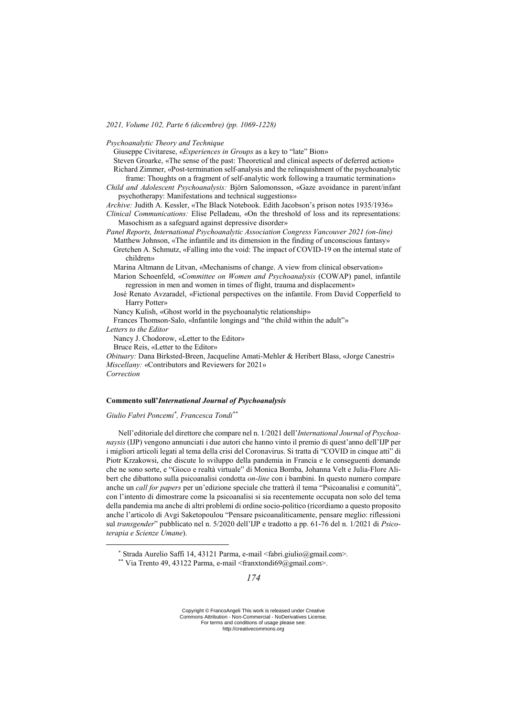*2021, Volume 102, Parte 6 (dicembre) (pp. 1069-1228)*

*Psychoanalytic Theory and Technique*

Giuseppe Civitarese, «*Experiences in Groups* as a key to "late" Bion»

Steven Groarke, «The sense of the past: Theoretical and clinical aspects of deferred action» Richard Zimmer, «Post-termination self-analysis and the relinquishment of the psychoanalytic frame: Thoughts on a fragment of self-analytic work following a traumatic termination»

*Child and Adolescent Psychoanalysis:* Björn Salomonsson, «Gaze avoidance in parent/infant psychotherapy: Manifestations and technical suggestions»

*Archive:* Judith A. Kessler, «The Black Notebook. Edith Jacobson's prison notes 1935/1936»

*Clinical Communications:* Elise Pelladeau, «On the threshold of loss and its representations: Masochism as a safeguard against depressive disorder»

*Panel Reports, International Psychoanalytic Association Congress Vancouver 2021 (on-line)* Matthew Johnson, «The infantile and its dimension in the finding of unconscious fantasy» Gretchen A. Schmutz, «Falling into the void: The impact of COVID-19 on the internal state of children»

Marina Altmann de Litvan, «Mechanisms of change. A view from clinical observation»

Marion Schoenfeld, «*Committee on Women and Psychoanalysis* (COWAP) panel, infantile regression in men and women in times of flight, trauma and displacement»

José Renato Avzaradel, «Fictional perspectives on the infantile. From David Copperfield to Harry Potter»

Nancy Kulish, «Ghost world in the psychoanalytic relationship»

Frances Thomson-Salo, «Infantile longings and "the child within the adult"»

*Letters to the Editor*

Nancy J. Chodorow, «Letter to the Editor»

Bruce Reis, «Letter to the Editor»

*Obituary:* Dana Birksted-Breen, Jacqueline Amati-Mehler & Heribert Blass, «Jorge Canestri» *Miscellany:* «Contributors and Reviewers for 2021» *Correction*

<u>.</u>

#### **Commento sull'***International Journal of Psychoanalysis*

*Giulio Fabri Poncemi\* , Francesca Tondi\*\**

Nell'editoriale del direttore che compare nel n. 1/2021 dell'*International Journal of Psychoanaysis* (IJP) vengono annunciati i due autori che hanno vinto il premio di quest'anno dell'IJP per i migliori articoli legati al tema della crisi del Coronavirus. Si tratta di "COVID in cinque atti" di Piotr Krzakowsi, che discute lo sviluppo della pandemia in Francia e le conseguenti domande che ne sono sorte, e "Gioco e realtà virtuale" di Monica Bomba, Johanna Velt e Julia-Flore Alibert che dibattono sulla psicoanalisi condotta *on-line* con i bambini. In questo numero compare anche un *call for papers* per un'edizione speciale che tratterà il tema "Psicoanalisi e comunità", con l'intento di dimostrare come la psicoanalisi si sia recentemente occupata non solo del tema della pandemia ma anche di altri problemi di ordine socio-politico (ricordiamo a questo proposito anche l'articolo di Avgi Saketopoulou "Pensare psicoanaliticamente, pensare meglio: riflessioni sul *transgender*" pubblicato nel n. 5/2020 dell'IJP e tradotto a pp. 61-76 del n. 1/2021 di *Psicoterapia e Scienze Umane*).

<sup>\*</sup> Strada Aurelio Saffi 14, 43121 Parma, e-mail <fabri.giulio@gmail.com>.

<sup>\*\*</sup> Via Trento 49, 43122 Parma, e-mail <franxtondi69@gmail.com>.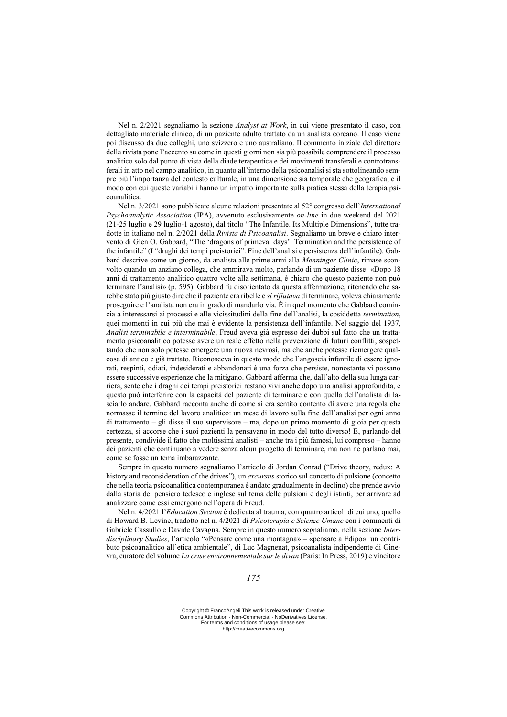Nel n. 2/2021 segnaliamo la sezione *Analyst at Work*, in cui viene presentato il caso, con dettagliato materiale clinico, di un paziente adulto trattato da un analista coreano. Il caso viene poi discusso da due colleghi, uno svizzero e uno australiano. Il commento iniziale del direttore della rivista pone l'accento su come in questi giorni non sia più possibile comprendere il processo analitico solo dal punto di vista della diade terapeutica e dei movimenti transferali e controtransferali in atto nel campo analitico, in quanto all'interno della psicoanalisi si sta sottolineando sempre più l'importanza del contesto culturale, in una dimensione sia temporale che geografica, e il modo con cui queste variabili hanno un impatto importante sulla pratica stessa della terapia psicoanalitica.

Nel n. 3/2021 sono pubblicate alcune relazioni presentate al 52° congresso dell'*International Psychoanalytic Associaiton* (IPA), avvenuto esclusivamente *on-line* in due weekend del 2021 (21-25 luglio e 29 luglio-1 agosto), dal titolo "The Infantile. Its Multiple Dimensions", tutte tradotte in italiano nel n. 2/2021 della *Rivista di Psicoanalisi*. Segnaliamo un breve e chiaro intervento di Glen O. Gabbard, "The 'dragons of primeval days': Termination and the persistence of the infantile" (I "draghi dei tempi preistorici". Fine dell'analisi e persistenza dell'infantile). Gabbard descrive come un giorno, da analista alle prime armi alla *Menninger Clinic*, rimase sconvolto quando un anziano collega, che ammirava molto, parlando di un paziente disse: «Dopo 18 anni di trattamento analitico quattro volte alla settimana, è chiaro che questo paziente non può terminare l'analisi» (p. 595). Gabbard fu disorientato da questa affermazione, ritenendo che sarebbe stato più giusto dire che il paziente era ribelle e *si rifiutava* di terminare, voleva chiaramente proseguire e l'analista non era in grado di mandarlo via. È in quel momento che Gabbard comincia a interessarsi ai processi e alle vicissitudini della fine dell'analisi, la cosiddetta *termination*, quei momenti in cui più che mai è evidente la persistenza dell'infantile. Nel saggio del 1937, *Analisi terminabile e interminabile*, Freud aveva già espresso dei dubbi sul fatto che un trattamento psicoanalitico potesse avere un reale effetto nella prevenzione di futuri conflitti, sospettando che non solo potesse emergere una nuova nevrosi, ma che anche potesse riemergere qualcosa di antico e già trattato. Riconosceva in questo modo che l'angoscia infantile di essere ignorati, respinti, odiati, indesiderati e abbandonati è una forza che persiste, nonostante vi possano essere successive esperienze che la mitigano. Gabbard afferma che, dall'alto della sua lunga carriera, sente che i draghi dei tempi preistorici restano vivi anche dopo una analisi approfondita, e questo può interferire con la capacità del paziente di terminare e con quella dell'analista di lasciarlo andare. Gabbard racconta anche di come si era sentito contento di avere una regola che normasse il termine del lavoro analitico: un mese di lavoro sulla fine dell'analisi per ogni anno di trattamento – gli disse il suo supervisore – ma, dopo un primo momento di gioia per questa certezza, si accorse che i suoi pazienti la pensavano in modo del tutto diverso! E, parlando del presente, condivide il fatto che moltissimi analisti – anche tra i più famosi, lui compreso – hanno dei pazienti che continuano a vedere senza alcun progetto di terminare, ma non ne parlano mai, come se fosse un tema imbarazzante.

Sempre in questo numero segnaliamo l'articolo di Jordan Conrad ("Drive theory, redux: A history and reconsideration of the drives"), un *excursus* storico sul concetto di pulsione (concetto che nella teoria psicoanalitica contemporanea è andato gradualmente in declino) che prende avvio dalla storia del pensiero tedesco e inglese sul tema delle pulsioni e degli istinti, per arrivare ad analizzare come essi emergono nell'opera di Freud.

Nel n. 4/2021 l'*Education Section* è dedicata al trauma, con quattro articoli di cui uno, quello di Howard B. Levine, tradotto nel n. 4/2021 di *Psicoterapia e Scienze Umane* con i commenti di Gabriele Cassullo e Davide Cavagna. Sempre in questo numero segnaliamo, nella sezione *Interdisciplinary Studies*, l'articolo "«Pensare come una montagna» – «pensare a Edipo»: un contributo psicoanalitico all'etica ambientale", di Luc Magnenat, psicoanalista indipendente di Ginevra, curatore del volume *La crise environnementale sur le divan* (Paris: In Press, 2019) e vincitore

Copyright © FrancoAngeli This work is released under Creative Commons Attribution - Non-Commercial - NoDerivatives License. For terms and conditions of usage please see: http://creativecommons.org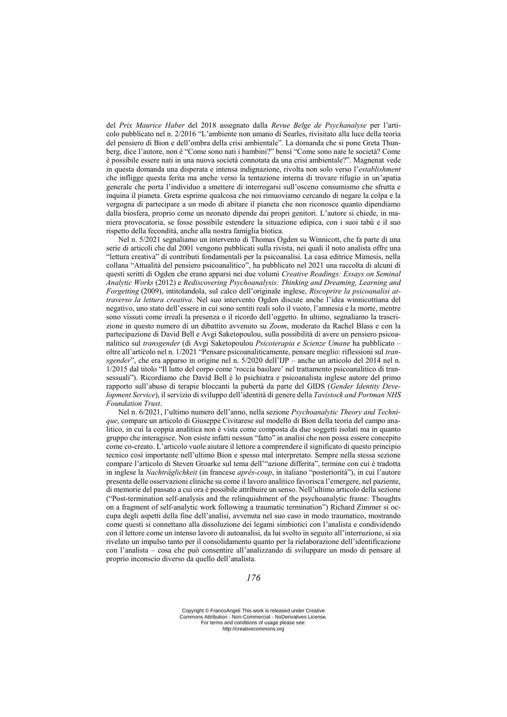del *Prix Maurice Haber* del 2018 assegnato dalla *Revue Belge de Psychanalyse* per l'articolo pubblicato nel n. 2/2016 "L'ambiente non umano di Searles, rivisitato alla luce della teoria del pensiero di Bion e dell'ombra della crisi ambientale". La domanda che si pone Greta Thunberg, dice l'autore, non è "Come sono nati i bambini?" bensì "Come sono nate le società? Come è possibile essere nati in una nuova società connotata da una crisi ambientale?". Magnenat vede in questa domanda una disperata e intensa indignazione, rivolta non solo verso l'*establishment* che infligge questa ferita ma anche verso la tentazione interna di trovare rifugio in un'apatia generale che porta l'individuo a smettere di interrogarsi sull'osceno consumismo che sfrutta e inquina il pianeta. Greta esprime qualcosa che noi rimuoviamo cercando di negare la colpa e la vergogna di partecipare a un modo di abitare il pianeta che non riconosce quanto dipendiamo dalla biosfera, proprio come un neonato dipende dai propri genitori. L'autore si chiede, in maniera provocatoria, se fosse possibile estendere la situazione edipica, con i suoi tabù e il suo rispetto della fecondità, anche alla nostra famiglia biotica.

Nel n. 5/2021 segnaliamo un intervento di Thomas Ogden su Winnicott, che fa parte di una serie di articoli che dal 2001 vengono pubblicati sulla rivista, nei quali il noto analista offre una "lettura creativa" di contributi fondamentali per la psicoanalisi. La casa editrice Mimesis, nella collana "Attualità del pensiero psicoanalitico", ha pubblicato nel 2021 una raccolta di alcuni di questi scritti di Ogden che erano apparsi nei due volumi *Creative Readings: Essays on Seminal Analytic Works* (2012) e *Rediscovering Psychoanalysis: Thinking and Dreaming, Learning and Forgetting* (2009), intitolandola, sul calco dell'originale inglese, *Riscoprire la psicoanalisi attraverso la lettura creativa*. Nel suo intervento Ogden discute anche l'idea winnicottiana del negativo, uno stato dell'essere in cui sono sentiti reali solo il vuoto, l'amnesia e la morte, mentre sono vissuti come irreali la presenza o il ricordo dell'oggetto. In ultimo, segnaliamo la trascrizione in questo numero di un dibattito avvenuto su *Zoom*, moderato da Rachel Blass e con la partecipazione di David Bell e Avgi Saketopoulou, sulla possibilità di avere un pensiero psicoanalitico sul *transgender* (di Avgi Saketopoulou *Psicoterapia e Scienze Umane* ha pubblicato – oltre all'articolo nel n. 1/2021 "Pensare psicoanaliticamente, pensare meglio: riflessioni sul *transgender*", che era apparso in origine nel n. 5/2020 dell'IJP – anche un articolo del 2014 nel n. 1/2015 dal titolo "Il lutto del corpo come 'roccia basilare' nel trattamento psicoanalitico di transessuali"). Ricordiamo che David Bell è lo psichiatra e psicoanalista inglese autore del primo rapporto sull'abuso di terapie bloccanti la pubertà da parte del GIDS (*Gender Identity Development Service*), il servizio di sviluppo dell'identità di genere della *Tavistock and Portman NHS Foundation Trust*.

Nel n. 6/2021, l'ultimo numero dell'anno, nella sezione *Psychoanalytic Theory and Technique*, compare un articolo di Giuseppe Civitarese sul modello di Bion della teoria del campo analitico, in cui la coppia analitica non è vista come composta da due soggetti isolati ma in quanto gruppo che interagisce. Non esiste infatti nessun "fatto" in analisi che non possa essere concepito come co-creato. L'articolo vuole aiutare il lettore a comprendere il significato di questo principio tecnico così importante nell'ultimo Bion e spesso mal interpretato. Sempre nella stessa sezione compare l'articolo di Steven Groarke sul tema dell'"azione differita", termine con cui è tradotta in inglese la *Nachträglichkeit* (in francese *après-coup*, in italiano "posteriorità"), in cui l'autore presenta delle osservazioni cliniche su come il lavoro analitico favorisca l'emergere, nel paziente, di memorie del passato a cui ora è possibile attribuire un senso. Nell'ultimo articolo della sezione ("Post-termination self-analysis and the relinquishment of the psychoanalytic frame: Thoughts on a fragment of self-analytic work following a traumatic termination") Richard Zimmer si occupa degli aspetti della fine dell'analisi, avvenuta nel suo caso in modo traumatico, mostrando come questi si connettano alla dissoluzione dei legami simbiotici con l'analista e condividendo con il lettore come un intenso lavoro di autoanalisi, da lui svolto in seguito all'interruzione, si sia rivelato un impulso tanto per il consolidamento quanto per la rielaborazione dell'identificazione con l'analista – cosa che può consentire all'analizzando di sviluppare un modo di pensare al proprio inconscio diverso da quello dell'analista.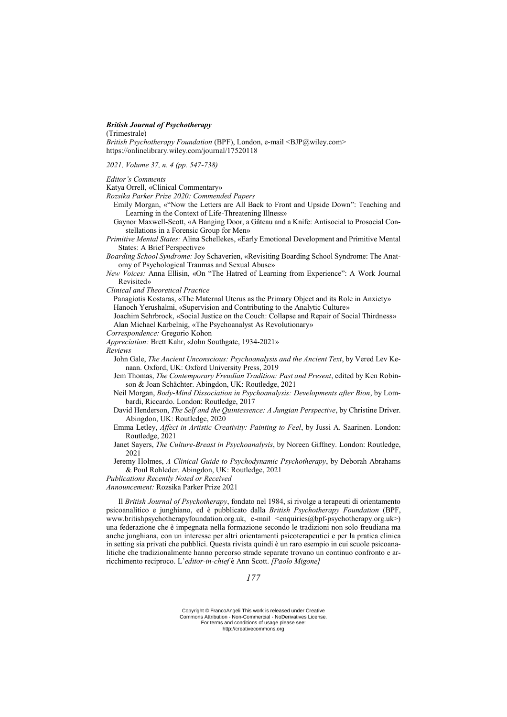### *British Journal of Psychotherapy*

(Trimestrale)

*British Psychotherapy Foundation* (BPF), London, e-mail <BJP@wiley.com> https://onlinelibrary.wiley.com/journal/17520118

*2021, Volume 37, n. 4 (pp. 547-738)*

*Editor's Comments*

- Katya Orrell, «Clinical Commentary»
- *Rozsika Parker Prize 2020: Commended Papers*
	- Emily Morgan, «"Now the Letters are All Back to Front and Upside Down": Teaching and Learning in the Context of Life-Threatening Illness»
	- Gaynor Maxwell-Scott, «A Banging Door, a Gâteau and a Knife: Antisocial to Prosocial Constellations in a Forensic Group for Men»
- *Primitive Mental States:* Alina Schellekes, «Early Emotional Development and Primitive Mental States: A Brief Perspective»
- *Boarding School Syndrome:* Joy Schaverien, «Revisiting Boarding School Syndrome: The Anatomy of Psychological Traumas and Sexual Abuse»
- *New Voices:* Anna Ellisin, «On "The Hatred of Learning from Experience": A Work Journal Revisited»

*Clinical and Theoretical Practice*

Panagiotis Kostaras, «The Maternal Uterus as the Primary Object and its Role in Anxiety» Hanoch Yerushalmi, «Supervision and Contributing to the Analytic Culture»

Joachim Sehrbrock, «Social Justice on the Couch: Collapse and Repair of Social Thirdness» Alan Michael Karbelnig, «The Psychoanalyst As Revolutionary»

- *Correspondence:* Gregorio Kohon
- *Appreciation:* Brett Kahr, «John Southgate, 1934-2021»

*Reviews*

- John Gale, *The Ancient Unconscious: Psychoanalysis and the Ancient Text*, by Vered Lev Kenaan. Oxford, UK: Oxford University Press, 2019
- Jem Thomas, *The Contemporary Freudian Tradition: Past and Present*, edited by Ken Robinson & Joan Schächter. Abingdon, UK: Routledge, 2021
- Neil Morgan, *Body-Mind Dissociation in Psychoanalysis: Developments after Bion*, by Lombardi, Riccardo. London: Routledge, 2017
- David Henderson, *The Self and the Quintessence: A Jungian Perspective*, by Christine Driver. Abingdon, UK: Routledge, 2020
- Emma Letley, *Affect in Artistic Creativity: Painting to Feel*, by Jussi A. Saarinen. London: Routledge, 2021
- Janet Sayers, *The Culture-Breast in Psychoanalysis*, by Noreen Giffney. London: Routledge, 2021
- Jeremy Holmes, *A Clinical Guide to Psychodynamic Psychotherapy*, by Deborah Abrahams & Poul Rohleder. Abingdon, UK: Routledge, 2021
- *Publications Recently Noted or Received*

*Announcement:* Rozsika Parker Prize 2021

Il *British Journal of Psychotherapy*, fondato nel 1984, si rivolge a terapeuti di orientamento psicoanalitico e junghiano, ed è pubblicato dalla *British Psychotherapy Foundation* (BPF, www.britishpsychotherapyfoundation.org.uk, e-mail <enquiries@bpf-psychotherapy.org.uk>) una federazione che è impegnata nella formazione secondo le tradizioni non solo freudiana ma anche junghiana, con un interesse per altri orientamenti psicoterapeutici e per la pratica clinica in setting sia privati che pubblici. Questa rivista quindi è un raro esempio in cui scuole psicoanalitiche che tradizionalmente hanno percorso strade separate trovano un continuo confronto e arricchimento reciproco. L'*editor-in-chief* è Ann Scott. *[Paolo Migone]*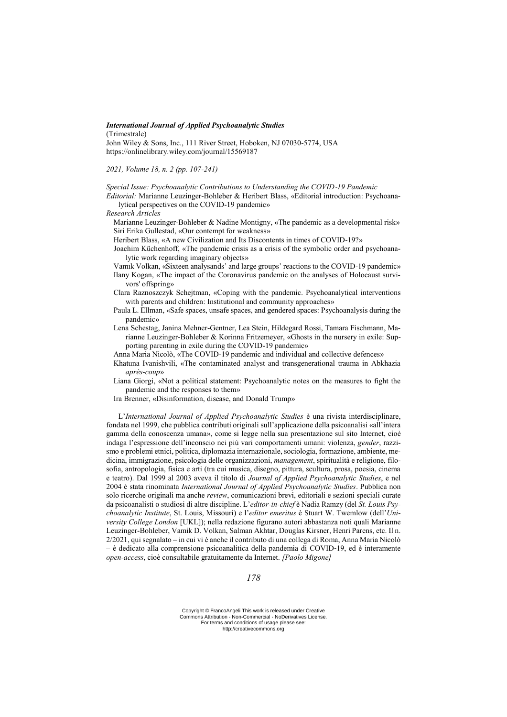## *International Journal of Applied Psychoanalytic Studies*

(Trimestrale)

John Wiley & Sons, Inc., 111 River Street, Hoboken, NJ 07030-5774, USA https://onlinelibrary.wiley.com/journal/15569187

*2021, Volume 18, n. 2 (pp. 107-241)*

*Special Issue: Psychoanalytic Contributions to Understanding the COVID*‐*19 Pandemic*

*Editorial:* Marianne Leuzinger-Bohleber & Heribert Blass, «Editorial introduction: Psychoanalytical perspectives on the COVID-19 pandemic»

*Research Articles*

Marianne Leuzinger-Bohleber & Nadine Montigny, «The pandemic as a developmental risk» Siri Erika Gullestad, «Our contempt for weakness»

- Heribert Blass, «A new Civilization and Its Discontents in times of COVID-19?»
- Joachim Küchenhoff, «The pandemic crisis as a crisis of the symbolic order and psychoanalytic work regarding imaginary objects»
- Vamık Volkan, «Sixteen analysands' and large groups' reactions to the COVID-19 pandemic»
- Ilany Kogan, «The impact of the Coronavirus pandemic on the analyses of Holocaust survivors' offspring»
- Clara Raznoszczyk Schejtman, «Coping with the pandemic. Psychoanalytical interventions with parents and children: Institutional and community approaches»
- Paula L. Ellman, «Safe spaces, unsafe spaces, and gendered spaces: Psychoanalysis during the pandemic»
- Lena Schestag, Janina Mehner-Gentner, Lea Stein, Hildegard Rossi, Tamara Fischmann, Marianne Leuzinger-Bohleber & Korinna Fritzemeyer, «Ghosts in the nursery in exile: Supporting parenting in exile during the COVID-19 pandemic»
- Anna Maria Nicolò, «The COVID-19 pandemic and individual and collective defences»
- Khatuna Ivanishvili, «The contaminated analyst and transgenerational trauma in Abkhazia *après-coup*»
- Liana Giorgi, «Not a political statement: Psychoanalytic notes on the measures to fight the pandemic and the responses to them»
- Ira Brenner, «Disinformation, disease, and Donald Trump»

L'*International Journal of Applied Psychoanalytic Studies* è una rivista interdisciplinare, fondata nel 1999, che pubblica contributi originali sull'applicazione della psicoanalisi «all'intera gamma della conoscenza umana», come si legge nella sua presentazione sul sito Internet, cioè indaga l'espressione dell'inconscio nei più vari comportamenti umani: violenza, *gender*, razzismo e problemi etnici, politica, diplomazia internazionale, sociologia, formazione, ambiente, medicina, immigrazione, psicologia delle organizzazioni, *management*, spiritualità e religione, filosofia, antropologia, fisica e arti (tra cui musica, disegno, pittura, scultura, prosa, poesia, cinema e teatro). Dal 1999 al 2003 aveva il titolo di *Journal of Applied Psychoanalytic Studies*, e nel 2004 è stata rinominata *International Journal of Applied Psychoanalytic Studies*. Pubblica non solo ricerche originali ma anche *review*, comunicazioni brevi, editoriali e sezioni speciali curate da psicoanalisti o studiosi di altre discipline. L'*editor-in-chief* è Nadia Ramzy (del *St. Louis Psychoanalytic Institute*, St. Louis, Missouri) e l'*editor emeritus* è Stuart W. Twemlow (dell'*University College London* [UKL]); nella redazione figurano autori abbastanza noti quali Marianne Leuzinger-Bohleber, Vamik D. Volkan, Salman Akhtar, Douglas Kirsner, Henri Parens, etc. Il n. 2/2021, qui segnalato – in cui vi è anche il contributo di una collega di Roma, Anna Maria Nicolò – è dedicato alla comprensione psicoanalitica della pandemia di COVID‐19, ed è interamente *open-access*, cioè consultabile gratuitamente da Internet. *[Paolo Migone]*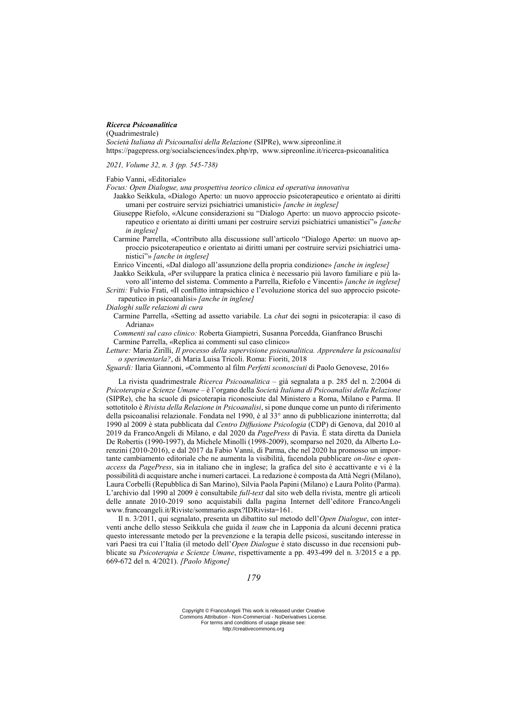#### *Ricerca Psicoanalitica*

(Quadrimestrale)

*Società Italiana di Psicoanalisi della Relazione* (SIPRe), www.sipreonline.it https://pagepress.org/socialsciences/index.php/rp, www.sipreonline.it/ricerca-psicoanalitica

*2021, Volume 32, n. 3 (pp. 545-738)*

Fabio Vanni, «Editoriale»

*Focus: Open Dialogue, una prospettiva teorico clinica ed operativa innovativa*

- Jaakko Seikkula, «Dialogo Aperto: un nuovo approccio psicoterapeutico e orientato ai diritti umani per costruire servizi psichiatrici umanistici» *[anche in inglese]*
- Giuseppe Riefolo, «Alcune considerazioni su "Dialogo Aperto: un nuovo approccio psicoterapeutico e orientato ai diritti umani per costruire servizi psichiatrici umanistici"» *[anche in inglese]*
- Carmine Parrella, «Contributo alla discussione sull'articolo "Dialogo Aperto: un nuovo approccio psicoterapeutico e orientato ai diritti umani per costruire servizi psichiatrici umanistici"» *[anche in inglese]*

Enrico Vincenti, «Dal dialogo all'assunzione della propria condizione» *[anche in inglese]* Jaakko Seikkula, «Per sviluppare la pratica clinica è necessario più lavoro familiare e più la-

voro all'interno del sistema. Commento a Parrella, Riefolo e Vincenti» *[anche in inglese]*

- *Scritti:* Fulvio Frati, «Il conflitto intrapsichico e l'evoluzione storica del suo approccio psicoterapeutico in psicoanalisi» *[anche in inglese]*
- *Dialoghi sulle relazioni di cura*
	- Carmine Parrella, «Setting ad assetto variabile. La *chat* dei sogni in psicoterapia: il caso di Adriana»

*Commenti sul caso clinico:* Roberta Giampietri, Susanna Porcedda, Gianfranco Bruschi Carmine Parrella, «Replica ai commenti sul caso clinico»

*Letture:* Maria Zirilli, *Il processo della supervisione psicoanalitica. Apprendere la psicoanalisi o sperimentarla?*, di Maria Luisa Tricoli. Roma: Fioriti, 2018

*Sguardi:* Ilaria Giannoni, «Commento al film *Perfetti sconosciuti* di Paolo Genovese, 2016»

La rivista quadrimestrale *Ricerca Psicoanalitica* – già segnalata a p. 285 del n. 2/2004 di *Psicoterapia e Scienze Umane* – è l'organo della *Società Italiana di Psicoanalisi della Relazione* (SIPRe), che ha scuole di psicoterapia riconosciute dal Ministero a Roma, Milano e Parma. Il sottotitolo è *Rivista della Relazione in Psicoanalisi*, si pone dunque come un punto di riferimento della psicoanalisi relazionale. Fondata nel 1990, è al 33° anno di pubblicazione ininterrotta; dal 1990 al 2009 è stata pubblicata dal *Centro Diffusione Psicologia* (CDP) di Genova, dal 2010 al 2019 da FrancoAngeli di Milano, e dal 2020 da *PagePress* di Pavia. È stata diretta da Daniela De Robertis (1990-1997), da Michele Minolli (1998-2009), scomparso nel 2020, da Alberto Lorenzini (2010-2016), e dal 2017 da Fabio Vanni, di Parma, che nel 2020 ha promosso un importante cambiamento editoriale che ne aumenta la visibilità, facendola pubblicare *on-line* e *openaccess* da *PagePress*, sia in italiano che in inglese; la grafica del sito è accattivante e vi è la possibilità di acquistare anche i numeri cartacei. La redazione è composta da Attà Negri (Milano), Laura Corbelli (Repubblica di San Marino), Silvia Paola Papini (Milano) e Laura Polito (Parma). L'archivio dal 1990 al 2009 è consultabile *full-text* dal sito web della rivista, mentre gli articoli delle annate 2010-2019 sono acquistabili dalla pagina Internet dell'editore FrancoAngeli www.francoangeli.it/Riviste/sommario.aspx?IDRivista=161.

Il n. 3/2011, qui segnalato, presenta un dibattito sul metodo dell'*Open Dialogue*, con interventi anche dello stesso Seikkula che guida il *team* che in Lapponia da alcuni decenni pratica questo interessante metodo per la prevenzione e la terapia delle psicosi, suscitando interesse in vari Paesi tra cui l'Italia (il metodo dell'*Open Dialogue* è stato discusso in due recensioni pubblicate su *Psicoterapia e Scienze Umane*, rispettivamente a pp. 493-499 del n. 3/2015 e a pp. 669-672 del n. 4/2021). *[Paolo Migone]*